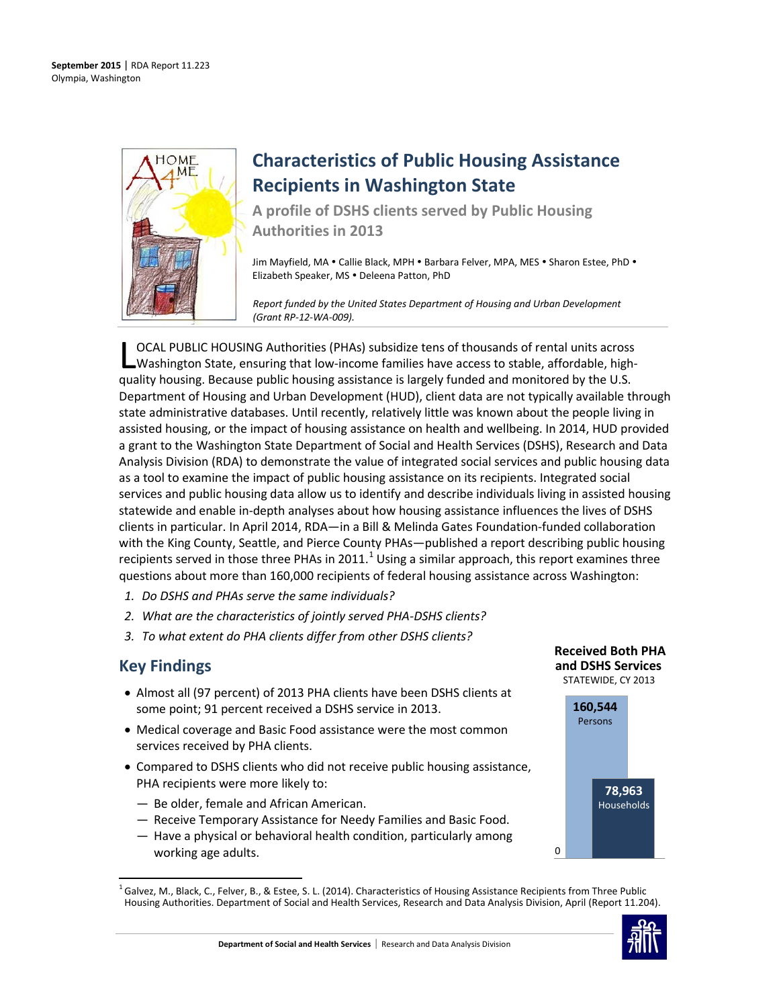

# **Characteristics of Public Housing Assistance Recipients in Washington State**

**A profile of DSHS clients served by Public Housing Authorities in 2013**

Jim Mayfield, MA . Callie Black, MPH . Barbara Felver, MPA, MES . Sharon Estee, PhD . Elizabeth Speaker, MS . Deleena Patton, PhD

*Report funded by the United States Department of Housing and Urban Development (Grant RP-12-WA-009).*

OCAL PUBLIC HOUSING Authorities (PHAs) subsidize tens of thousands of rental units across Washington State, ensuring that low-income families have access to stable, affordable, high-**LOCAL PUBLIC HOUSING Authorities (PHAs) subsidize tens of thousands of rental units across**<br>
Washington State, ensuring that low-income families have access to stable, affordable, high<br>
quality housing. Because public hou Department of Housing and Urban Development (HUD), client data are not typically available through state administrative databases. Until recently, relatively little was known about the people living in assisted housing, or the impact of housing assistance on health and wellbeing. In 2014, HUD provided a grant to the Washington State Department of Social and Health Services (DSHS), Research and Data Analysis Division (RDA) to demonstrate the value of integrated social services and public housing data as a tool to examine the impact of public housing assistance on its recipients. Integrated social services and public housing data allow us to identify and describe individuals living in assisted housing statewide and enable in-depth analyses about how housing assistance influences the lives of DSHS clients in particular. In April 2014, RDA—in a Bill & Melinda Gates Foundation-funded collaboration with the King County, Seattle, and Pierce County PHAs—published a report describing public housing recipients served in those three PHAs in 20[1](#page-0-0)1.<sup>1</sup> Using a similar approach, this report examines three questions about more than 160,000 recipients of federal housing assistance across Washington:

- *1. Do DSHS and PHAs serve the same individuals?*
- *2. What are the characteristics of jointly served PHA-DSHS clients?*
- *3. To what extent do PHA clients differ from other DSHS clients?*

# **Key Findings**

- Almost all (97 percent) of 2013 PHA clients have been DSHS clients at some point; 91 percent received a DSHS service in 2013.
- Medical coverage and Basic Food assistance were the most common services received by PHA clients.
- Compared to DSHS clients who did not receive public housing assistance, PHA recipients were more likely to:
	- Be older, female and African American.
	- Receive Temporary Assistance for Needy Families and Basic Food.
	- Have a physical or behavioral health condition, particularly among working age adults.

### **Received Both PHA and DSHS Services** STATEWIDE, CY 2013



<span id="page-0-0"></span> $^1$  Galvez, M., Black, C., Felver, B., & Estee, S. L. (2014). Characteristics of Housing Assistance Recipients from Three Public Housing Authorities. Department of Social and Health Services, Research and Data Analysis Division, April (Report 11.204).

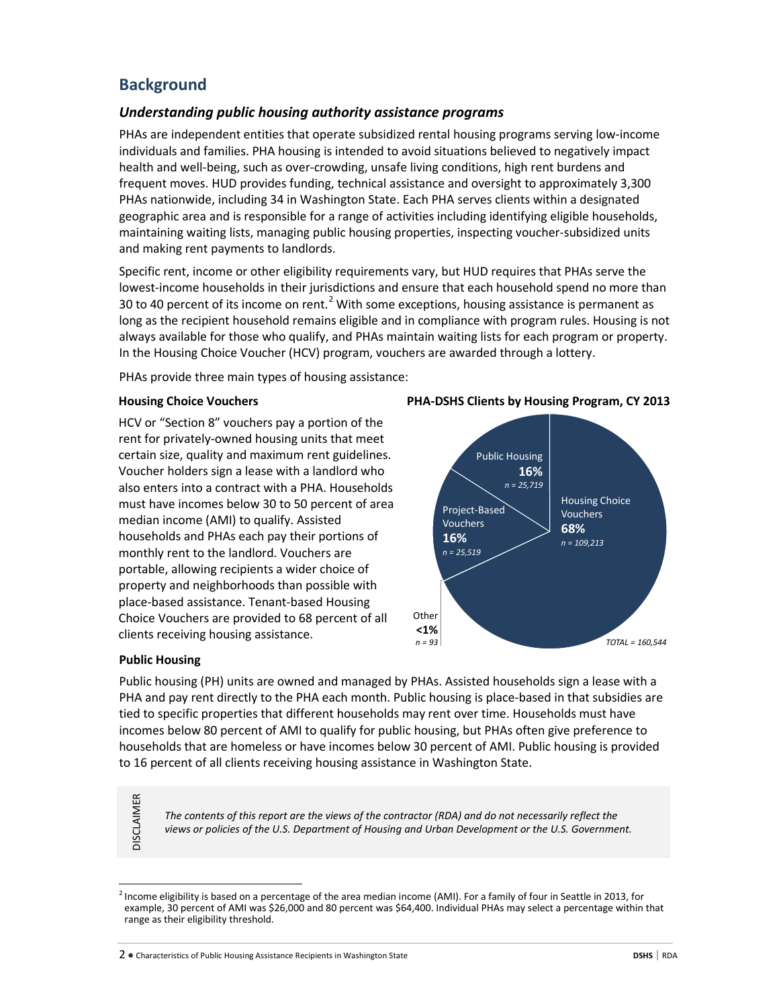# **Background**

# *Understanding public housing authority assistance programs*

PHAs are independent entities that operate subsidized rental housing programs serving low-income individuals and families. PHA housing is intended to avoid situations believed to negatively impact health and well-being, such as over-crowding, unsafe living conditions, high rent burdens and frequent moves. HUD provides funding, technical assistance and oversight to approximately 3,300 PHAs nationwide, including 34 in Washington State. Each PHA serves clients within a designated geographic area and is responsible for a range of activities including identifying eligible households, maintaining waiting lists, managing public housing properties, inspecting voucher-subsidized units and making rent payments to landlords.

Specific rent, income or other eligibility requirements vary, but HUD requires that PHAs serve the lowest-income households in their jurisdictions and ensure that each household spend no more than 30 to 40 percent of its income on rent.<sup>[2](#page-1-0)</sup> With some exceptions, housing assistance is permanent as long as the recipient household remains eligible and in compliance with program rules. Housing is not always available for those who qualify, and PHAs maintain waiting lists for each program or property. In the Housing Choice Voucher (HCV) program, vouchers are awarded through a lottery.

PHAs provide three main types of housing assistance:

### **Housing Choice Vouchers**

HCV or "Section 8" vouchers pay a portion of the rent for privately-owned housing units that meet certain size, quality and maximum rent guidelines. Voucher holders sign a lease with a landlord who also enters into a contract with a PHA. Households must have incomes below 30 to 50 percent of area median income (AMI) to qualify. Assisted households and PHAs each pay their portions of monthly rent to the landlord. Vouchers are portable, allowing recipients a wider choice of property and neighborhoods than possible with place-based assistance. Tenant-based Housing Choice Vouchers are provided to 68 percent of all clients receiving housing assistance.

# **PHA-DSHS Clients by Housing Program, CY 2013**



### **Public Housing**

Public housing (PH) units are owned and managed by PHAs. Assisted households sign a lease with a PHA and pay rent directly to the PHA each month. Public housing is place-based in that subsidies are tied to specific properties that different households may rent over time. Households must have incomes below 80 percent of AMI to qualify for public housing, but PHAs often give preference to households that are homeless or have incomes below 30 percent of AMI. Public housing is provided to 16 percent of all clients receiving housing assistance in Washington State.

*The contents of this report are the views of the contractor (RDA) and do not necessarily reflect the views or policies of the U.S. Department of Housing and Urban Development or the U.S. Government.*

2 ● Characteristics of Public Housing Assistance Recipients in Washington State **DSHS** | RDA

**DISCLAIMER** DISCLAIMER

<span id="page-1-0"></span> $^2$  Income eligibility is based on a percentage of the area median income (AMI). For a family of four in Seattle in 2013, for example, 30 percent of AMI was \$26,000 and 80 percent was \$64,400. Individual PHAs may select a percentage within that range as their eligibility threshold.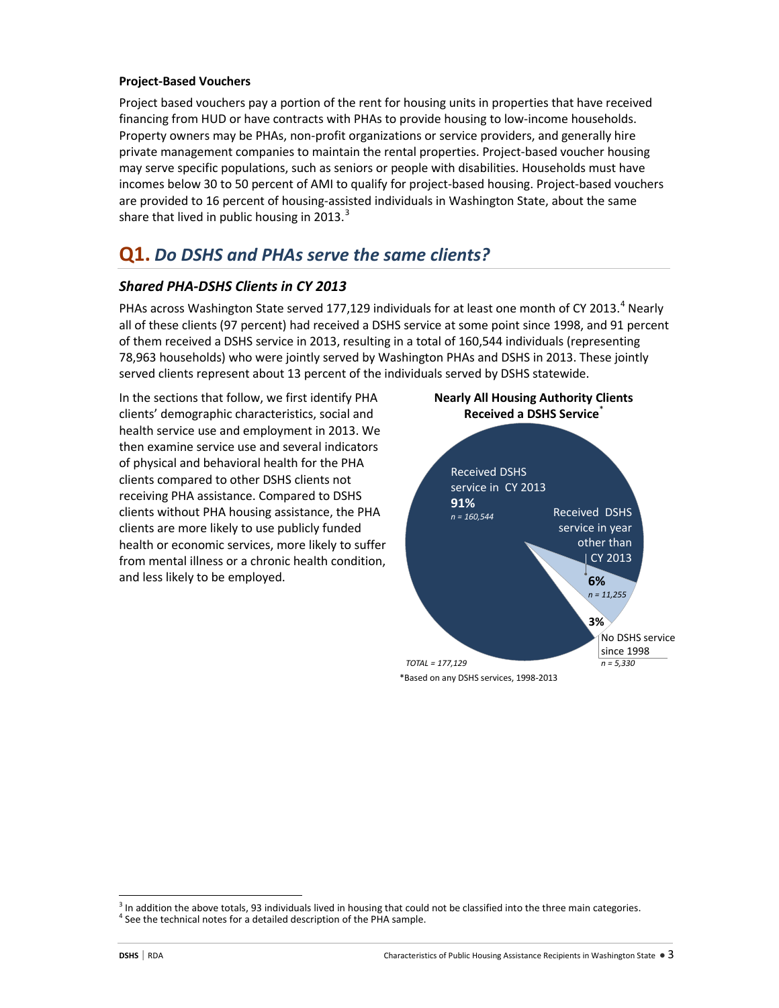### **Project-Based Vouchers**

Project based vouchers pay a portion of the rent for housing units in properties that have received financing from HUD or have contracts with PHAs to provide housing to low-income households. Property owners may be PHAs, non-profit organizations or service providers, and generally hire private management companies to maintain the rental properties. Project-based voucher housing may serve specific populations, such as seniors or people with disabilities. Households must have incomes below 30 to 50 percent of AMI to qualify for project-based housing. Project-based vouchers are provided to 16 percent of housing-assisted individuals in Washington State, about the same share that lived in public housing in 201[3](#page-2-0).<sup>3</sup>

# **Q1.** *Do DSHS and PHAs serve the same clients?*

# *Shared PHA-DSHS Clients in CY 2013*

PHAs across Washington State served 177,129 individuals for at least one month of CY 2013.<sup>[4](#page-2-1)</sup> Nearly all of these clients (97 percent) had received a DSHS service at some point since 1998, and 91 percent of them received a DSHS service in 2013, resulting in a total of 160,544 individuals (representing 78,963 households) who were jointly served by Washington PHAs and DSHS in 2013. These jointly served clients represent about 13 percent of the individuals served by DSHS statewide.

In the sections that follow, we first identify PHA clients' demographic characteristics, social and health service use and employment in 2013. We then examine service use and several indicators of physical and behavioral health for the PHA clients compared to other DSHS clients not receiving PHA assistance. Compared to DSHS clients without PHA housing assistance, the PHA clients are more likely to use publicly funded health or economic services, more likely to suffer from mental illness or a chronic health condition, and less likely to be employed.





<span id="page-2-1"></span><span id="page-2-0"></span> $3$  In addition the above totals, 93 individuals lived in housing that could not be classified into the three main categories.<br><sup>4</sup> See the technical notes for a detailed description of the PHA sample.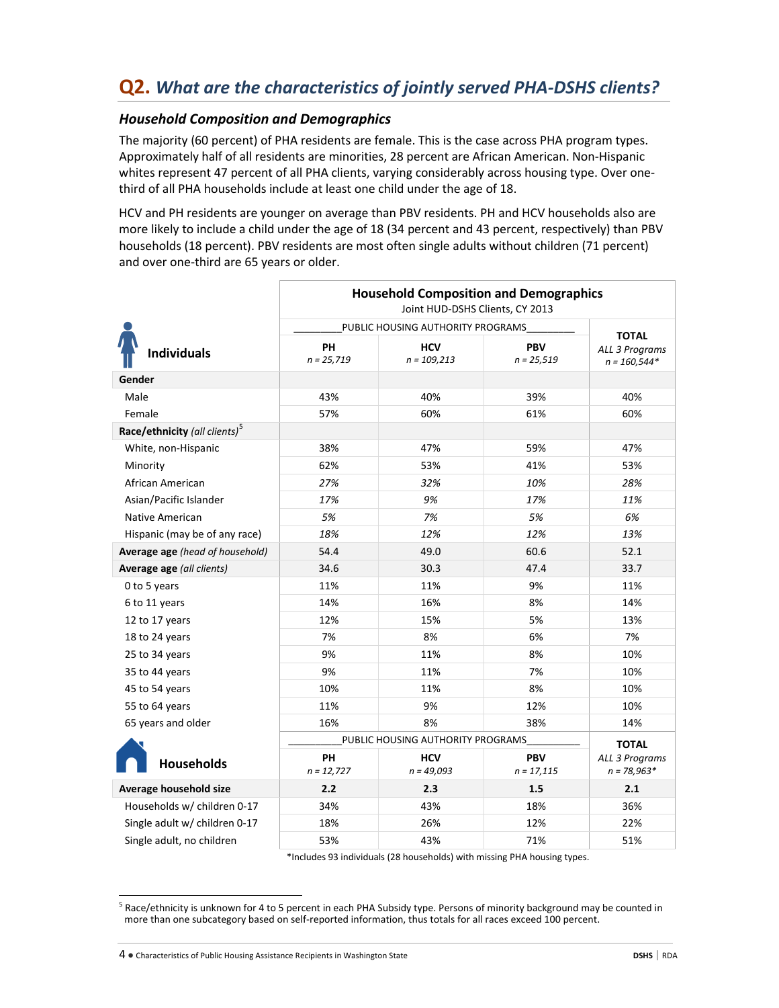# *Household Composition and Demographics*

The majority (60 percent) of PHA residents are female. This is the case across PHA program types. Approximately half of all residents are minorities, 28 percent are African American. Non-Hispanic whites represent 47 percent of all PHA clients, varying considerably across housing type. Over onethird of all PHA households include at least one child under the age of 18.

HCV and PH residents are younger on average than PBV residents. PH and HCV households also are more likely to include a child under the age of 18 (34 percent and 43 percent, respectively) than PBV households (18 percent). PBV residents are most often single adults without children (71 percent) and over one-third are 65 years or older.

|                                           | <b>Household Composition and Demographics</b><br>Joint HUD-DSHS Clients, CY 2013 |                                   |                            |                                  |  |
|-------------------------------------------|----------------------------------------------------------------------------------|-----------------------------------|----------------------------|----------------------------------|--|
|                                           |                                                                                  | PUBLIC HOUSING AUTHORITY PROGRAMS |                            | <b>TOTAL</b>                     |  |
| <b>Individuals</b>                        | PH<br>$n = 25,719$                                                               | <b>HCV</b><br>$n = 109,213$       | <b>PBV</b><br>$n = 25,519$ | ALL 3 Programs<br>$n = 160,544*$ |  |
| Gender                                    |                                                                                  |                                   |                            |                                  |  |
| Male                                      | 43%                                                                              | 40%                               | 39%                        | 40%                              |  |
| Female                                    | 57%                                                                              | 60%                               | 61%                        | 60%                              |  |
| Race/ethnicity (all clients) <sup>5</sup> |                                                                                  |                                   |                            |                                  |  |
| White, non-Hispanic                       | 38%                                                                              | 47%                               | 59%                        | 47%                              |  |
| Minority                                  | 62%                                                                              | 53%                               | 41%                        | 53%                              |  |
| African American                          | 27%                                                                              | 32%                               | 10%                        | 28%                              |  |
| Asian/Pacific Islander                    | 17%                                                                              | 9%                                | 17%                        | 11%                              |  |
| Native American                           | 5%                                                                               | 7%                                | 5%                         | 6%                               |  |
| Hispanic (may be of any race)             | 18%                                                                              | 12%                               | 12%                        | 13%                              |  |
| Average age (head of household)           | 54.4                                                                             | 49.0                              | 60.6                       | 52.1                             |  |
| Average age (all clients)                 | 34.6                                                                             | 30.3                              | 47.4                       | 33.7                             |  |
| 0 to 5 years                              | 11%                                                                              | 11%                               | 9%                         | 11%                              |  |
| 6 to 11 years                             | 14%                                                                              | 16%                               | 8%                         | 14%                              |  |
| 12 to 17 years                            | 12%                                                                              | 15%                               | 5%                         | 13%                              |  |
| 18 to 24 years                            | 7%                                                                               | 8%                                | 6%                         | 7%                               |  |
| 25 to 34 years                            | 9%                                                                               | 11%                               | 8%                         | 10%                              |  |
| 35 to 44 years                            | 9%                                                                               | 11%                               | 7%                         | 10%                              |  |
| 45 to 54 years                            | 10%                                                                              | 11%                               | 8%                         | 10%                              |  |
| 55 to 64 years                            | 11%                                                                              | 9%                                | 12%                        | 10%                              |  |
| 65 years and older                        | 16%                                                                              | 8%                                | 38%                        | 14%                              |  |
|                                           |                                                                                  | PUBLIC HOUSING AUTHORITY PROGRAMS |                            | <b>TOTAL</b>                     |  |
| <b>Households</b>                         | <b>PH</b><br>$n = 12,727$                                                        | <b>HCV</b><br>$n = 49,093$        | <b>PBV</b><br>$n = 17,115$ | ALL 3 Programs<br>$n = 78,963*$  |  |
| Average household size                    | 2.2                                                                              | 2.3                               | 1.5                        | 2.1                              |  |
| Households w/ children 0-17               | 34%                                                                              | 43%                               | 18%                        | 36%                              |  |
| Single adult w/ children 0-17             | 18%                                                                              | 26%                               | 12%                        | 22%                              |  |
| Single adult, no children                 | 53%                                                                              | 43%                               | 71%                        | 51%                              |  |

\*Includes 93 individuals (28 households) with missing PHA housing types.

4 ● Characteristics of Public Housing Assistance Recipients in Washington State **DSHS** | RDA

<span id="page-3-0"></span> $5$  Race/ethnicity is unknown for 4 to 5 percent in each PHA Subsidy type. Persons of minority background may be counted in more than one subcategory based on self-reported information, thus totals for all races exceed 100 percent.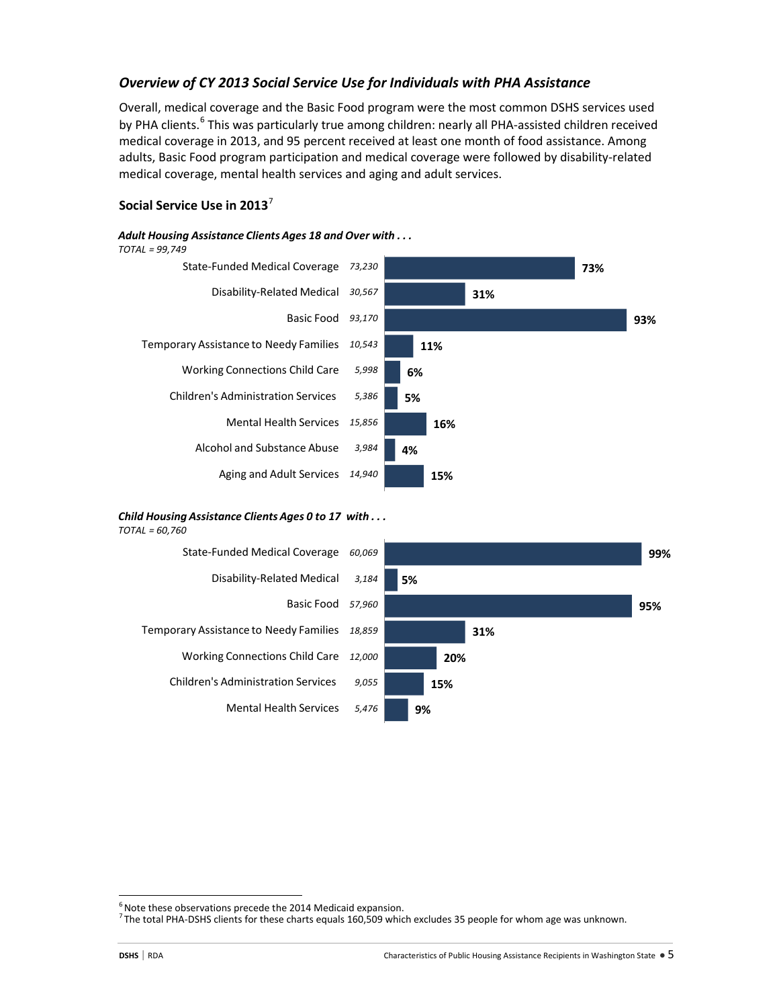# *Overview of CY 2013 Social Service Use for Individuals with PHA Assistance*

Overall, medical coverage and the Basic Food program were the most common DSHS services used by PHA clients.<sup>[6](#page-4-0)</sup> This was particularly true among children: nearly all PHA-assisted children received medical coverage in 2013, and 95 percent received at least one month of food assistance. Among adults, Basic Food program participation and medical coverage were followed by disability-related medical coverage, mental health services and aging and adult services.

### **Social Service Use in 2013**[7](#page-4-1)

### *Adult Housing Assistance Clients Ages 18 and Over with . . .*





### *Child Housing Assistance Clients Ages 0 to 17 with . . .*

*TOTAL = 60,760* 



<span id="page-4-0"></span><sup>-&</sup>lt;br>6  $6$  Note these observations precede the 2014 Medicaid expansion.

<span id="page-4-1"></span>The total PHA-DSHS clients for these charts equals 160,509 which excludes 35 people for whom age was unknown.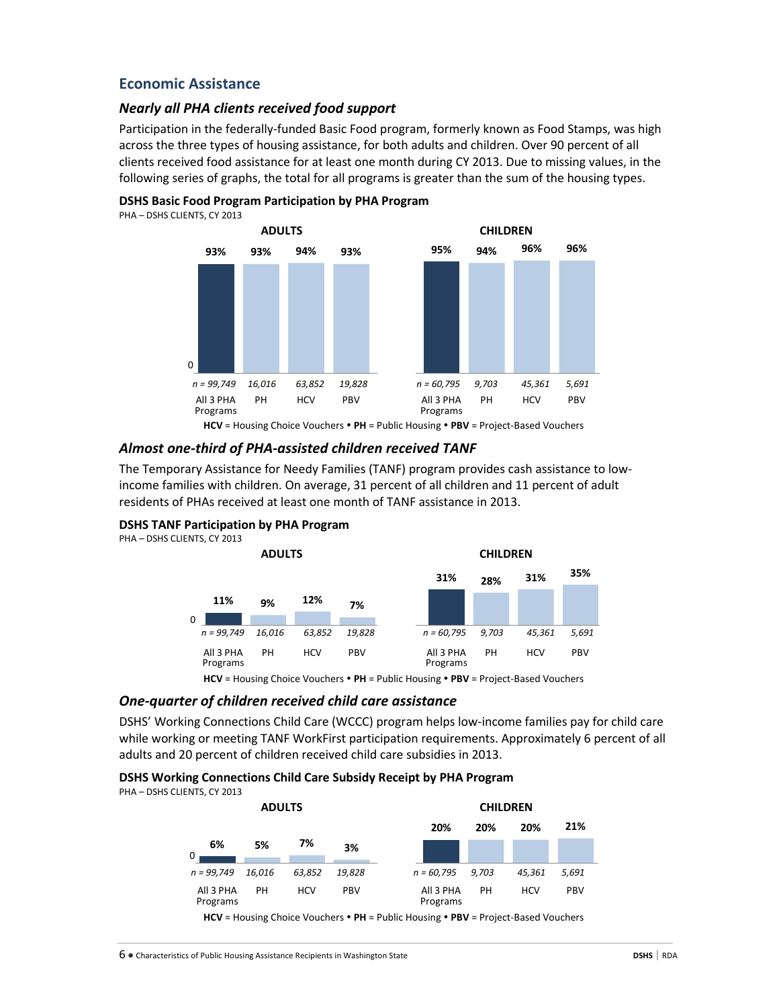# **Economic Assistance**

### *Nearly all PHA clients received food support*

Participation in the federally-funded Basic Food program, formerly known as Food Stamps, was high across the three types of housing assistance, for both adults and children. Over 90 percent of all clients received food assistance for at least one month during CY 2013. Due to missing values, in the following series of graphs, the total for all programs is greater than the sum of the housing types.



**DSHS Basic Food Program Participation by PHA Program** PHA – DSHS CLIENTS, CY 2013

# *Almost one-third of PHA-assisted children received TANF*

The Temporary Assistance for Needy Families (TANF) program provides cash assistance to lowincome families with children. On average, 31 percent of all children and 11 percent of adult residents of PHAs received at least one month of TANF assistance in 2013.

### **DSHS TANF Participation by PHA Program**



**HCV** = Housing Choice Vouchers **PH** = Public Housing **PBV** = Project-Based Vouchers

### *One-quarter of children received child care assistance*

DSHS' Working Connections Child Care (WCCC) program helps low-income families pay for child care while working or meeting TANF WorkFirst participation requirements. Approximately 6 percent of all adults and 20 percent of children received child care subsidies in 2013.

### **DSHS Working Connections Child Care Subsidy Receipt by PHA Program**

PHA – DSHS CLIENTS, CY 2013



**HCV** = Housing Choice Vouchers **PH** = Public Housing **PBV** = Project-Based Vouchers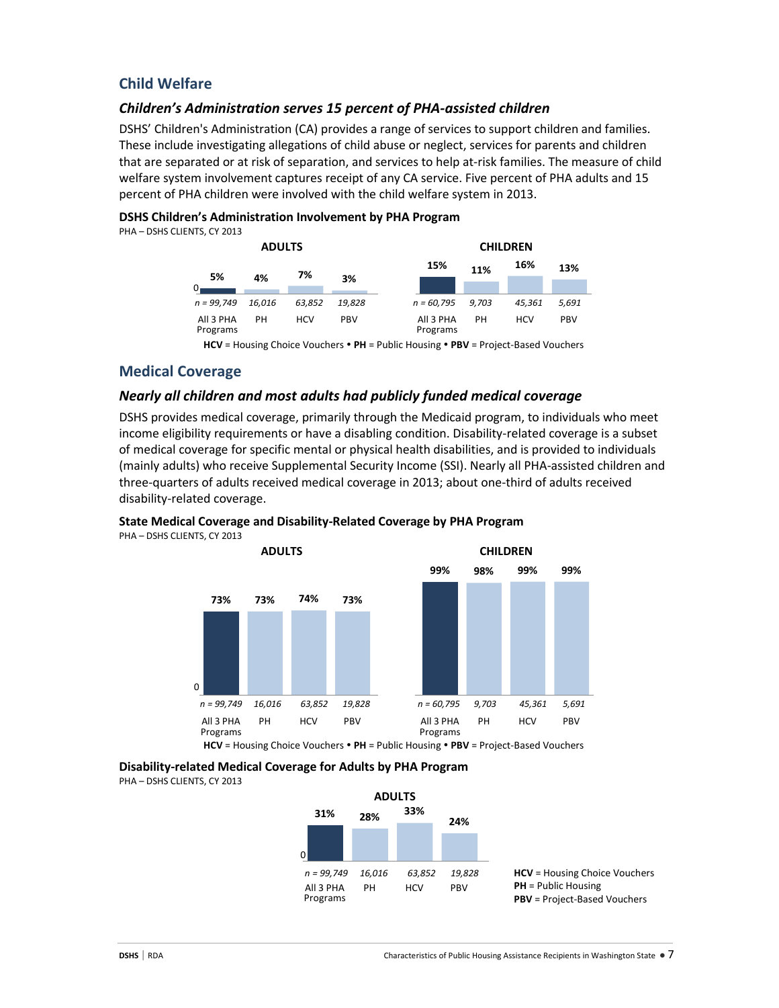# **Child Welfare**

# *Children's Administration serves 15 percent of PHA-assisted children*

DSHS' Children's Administration (CA) provides a range of services to support children and families. These include investigating allegations of child abuse or neglect, services for parents and children that are separated or at risk of separation, and services to help at-risk families. The measure of child welfare system involvement captures receipt of any CA service. Five percent of PHA adults and 15 percent of PHA children were involved with the child welfare system in 2013.

### **DSHS Children's Administration Involvement by PHA Program**

PHA – DSHS CLIENTS, CY 2013

|                       | <b>ADULTS</b> |            |            |                       |       | <b>CHILDREN</b> |            |
|-----------------------|---------------|------------|------------|-----------------------|-------|-----------------|------------|
| 5%                    | 4%            | 7%         | 3%         | 15%                   | 11%   | 16%             | 13%        |
| $n = 99.749$          | 16.016        | 63.852     | 19.828     | $n = 60,795$          | 9.703 | 45.361          | 5,691      |
| All 3 PHA<br>Programs | PH            | <b>HCV</b> | <b>PBV</b> | All 3 PHA<br>Programs | PH    | <b>HCV</b>      | <b>PBV</b> |

**HCV** = Housing Choice Vouchers **PH** = Public Housing **PBV** = Project-Based Vouchers

# **Medical Coverage**

### *Nearly all children and most adults had publicly funded medical coverage*

DSHS provides medical coverage, primarily through the Medicaid program, to individuals who meet income eligibility requirements or have a disabling condition. Disability-related coverage is a subset of medical coverage for specific mental or physical health disabilities, and is provided to individuals (mainly adults) who receive Supplemental Security Income (SSI). Nearly all PHA-assisted children and three-quarters of adults received medical coverage in 2013; about one-third of adults received disability-related coverage.

### **State Medical Coverage and Disability-Related Coverage by PHA Program**

PHA – DSHS CLIENTS, CY 2013



**Disability-related Medical Coverage for Adults by PHA Program**

PHA – DSHS CLIENTS, CY 2013

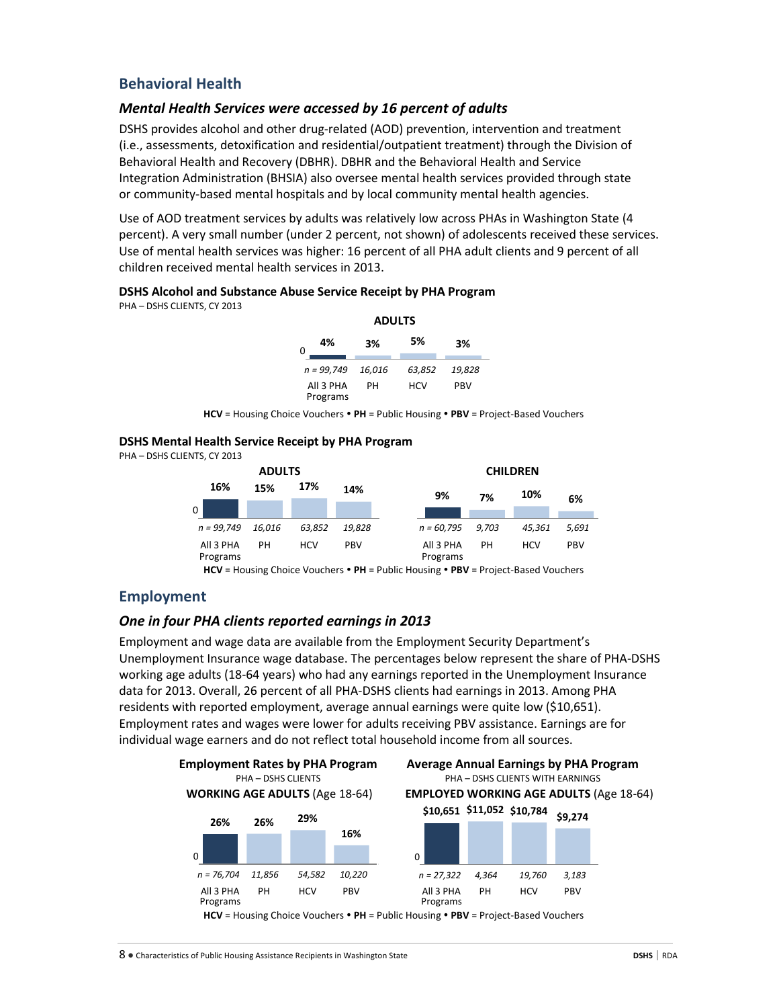# **Behavioral Health**

### *Mental Health Services were accessed by 16 percent of adults*

DSHS provides alcohol and other drug-related (AOD) prevention, intervention and treatment (i.e., assessments, detoxification and residential/outpatient treatment) through the Division of Behavioral Health and Recovery (DBHR). DBHR and the Behavioral Health and Service Integration Administration (BHSIA) also oversee mental health services provided through state or community-based mental hospitals and by local community mental health agencies.

Use of AOD treatment services by adults was relatively low across PHAs in Washington State (4 percent). A very small number (under 2 percent, not shown) of adolescents received these services. Use of mental health services was higher: 16 percent of all PHA adult clients and 9 percent of all children received mental health services in 2013.

### **DSHS Alcohol and Substance Abuse Service Receipt by PHA Program**

PHA – DSHS CLIENTS, CY 2013

| 4%<br>0               | 3%     | 5%     | 3%         |
|-----------------------|--------|--------|------------|
| $n = 99.749$          | 16,016 | 63,852 | 19,828     |
| All 3 PHA<br>Programs | PН     | HCV    | <b>PBV</b> |

**HCV** = Housing Choice Vouchers **PH** = Public Housing **PBV** = Project-Based Vouchers

### **DSHS Mental Health Service Receipt by PHA Program**

PHA – DSHS CLIENTS, CY 2013

|                       | <b>ADULTS</b> |            |            |                       |       | <b>CHILDREN</b> |       |
|-----------------------|---------------|------------|------------|-----------------------|-------|-----------------|-------|
| 16%                   | 15%           | 17%        | 14%        | 9%                    | 7%    | 10%             | 6%    |
| $\Omega$              |               |            |            |                       |       |                 |       |
| $n = 99.749$          | 16.016        | 63.852     | 19.828     | $n = 60,795$          | 9.703 | 45.361          | 5,691 |
| All 3 PHA<br>Programs | PН            | <b>HCV</b> | <b>PBV</b> | All 3 PHA<br>Programs | PH    | <b>HCV</b>      | PBV   |

**HCV** = Housing Choice Vouchers **PH** = Public Housing **PBV** = Project-Based Vouchers

# **Employment**

### *One in four PHA clients reported earnings in 2013*

Employment and wage data are available from the Employment Security Department's Unemployment Insurance wage database. The percentages below represent the share of PHA-DSHS working age adults (18-64 years) who had any earnings reported in the Unemployment Insurance data for 2013. Overall, 26 percent of all PHA-DSHS clients had earnings in 2013. Among PHA residents with reported employment, average annual earnings were quite low (\$10,651). Employment rates and wages were lower for adults receiving PBV assistance. Earnings are for individual wage earners and do not reflect total household income from all sources.

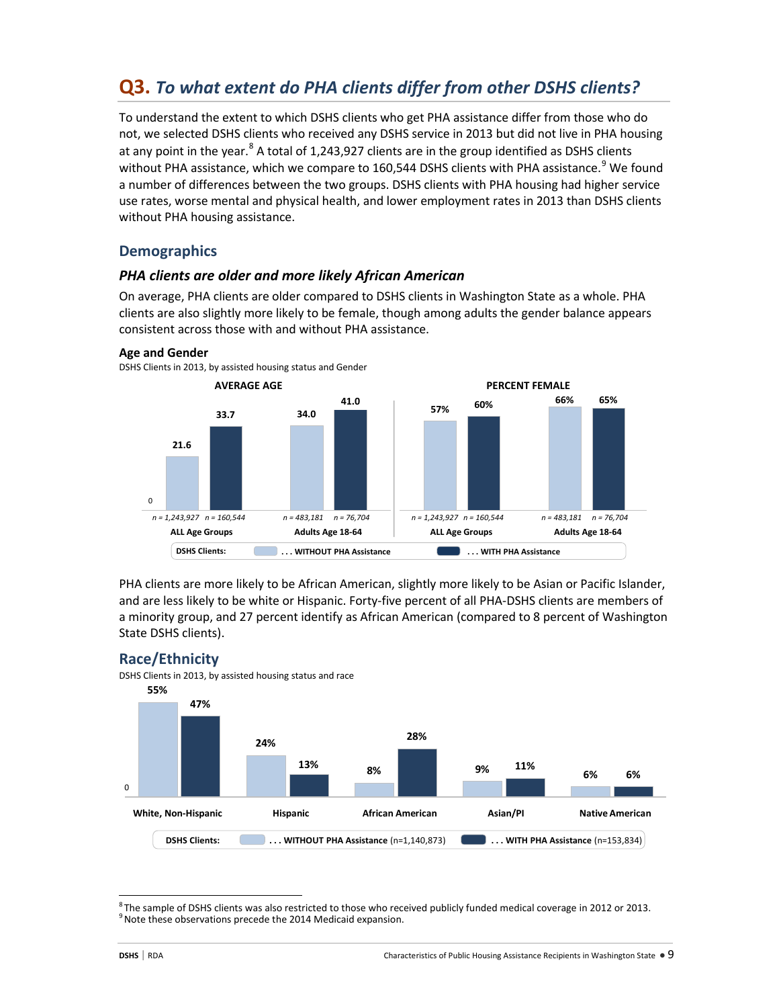# **Q3.** *To what extent do PHA clients differ from other DSHS clients?*

To understand the extent to which DSHS clients who get PHA assistance differ from those who do not, we selected DSHS clients who received any DSHS service in 2013 but did not live in PHA housing at any point in the year.<sup>[8](#page-8-0)</sup> A total of 1,243,927 clients are in the group identified as DSHS clients without PHA assistance, which we compare to 160,544 DSHS clients with PHA assistance.<sup>[9](#page-8-1)</sup> We found a number of differences between the two groups. DSHS clients with PHA housing had higher service use rates, worse mental and physical health, and lower employment rates in 2013 than DSHS clients without PHA housing assistance.

# **Demographics**

# *PHA clients are older and more likely African American*

On average, PHA clients are older compared to DSHS clients in Washington State as a whole. PHA clients are also slightly more likely to be female, though among adults the gender balance appears consistent across those with and without PHA assistance.



PHA clients are more likely to be African American, slightly more likely to be Asian or Pacific Islander, and are less likely to be white or Hispanic. Forty-five percent of all PHA-DSHS clients are members of a minority group, and 27 percent identify as African American (compared to 8 percent of Washington State DSHS clients).

# **Race/Ethnicity**

DSHS Clients in 2013, by assisted housing status and race



<span id="page-8-1"></span><span id="page-8-0"></span><sup>-&</sup>lt;br>8  $8$ The sample of DSHS clients was also restricted to those who received publicly funded medical coverage in 2012 or 2013.  $9$  Note these observations precede the 2014 Medicaid expansion.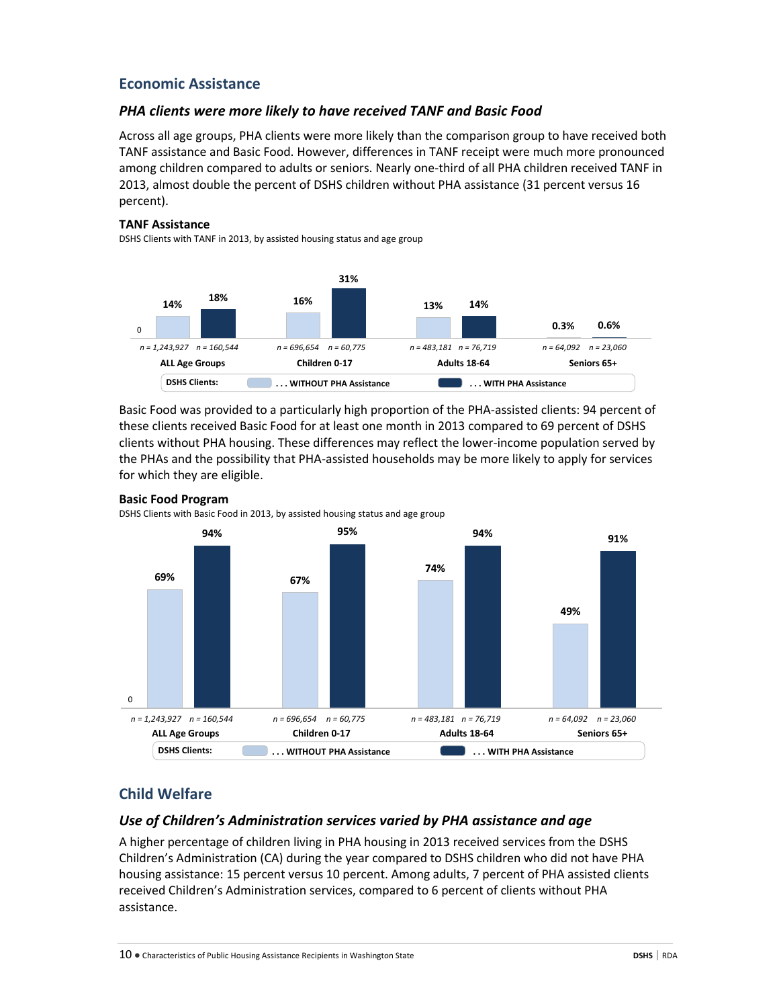# **Economic Assistance**

### *PHA clients were more likely to have received TANF and Basic Food*

Across all age groups, PHA clients were more likely than the comparison group to have received both TANF assistance and Basic Food. However, differences in TANF receipt were much more pronounced among children compared to adults or seniors. Nearly one-third of all PHA children received TANF in 2013, almost double the percent of DSHS children without PHA assistance (31 percent versus 16 percent).

### **TANF Assistance**

DSHS Clients with TANF in 2013, by assisted housing status and age group



Basic Food was provided to a particularly high proportion of the PHA-assisted clients: 94 percent of these clients received Basic Food for at least one month in 2013 compared to 69 percent of DSHS clients without PHA housing. These differences may reflect the lower-income population served by the PHAs and the possibility that PHA-assisted households may be more likely to apply for services for which they are eligible.



# **Basic Food Program**

DSHS Clients with Basic Food in 2013, by assisted housing status and age group

# **Child Welfare**

### *Use of Children's Administration services varied by PHA assistance and age*

A higher percentage of children living in PHA housing in 2013 received services from the DSHS Children's Administration (CA) during the year compared to DSHS children who did not have PHA housing assistance: 15 percent versus 10 percent. Among adults, 7 percent of PHA assisted clients received Children's Administration services, compared to 6 percent of clients without PHA assistance.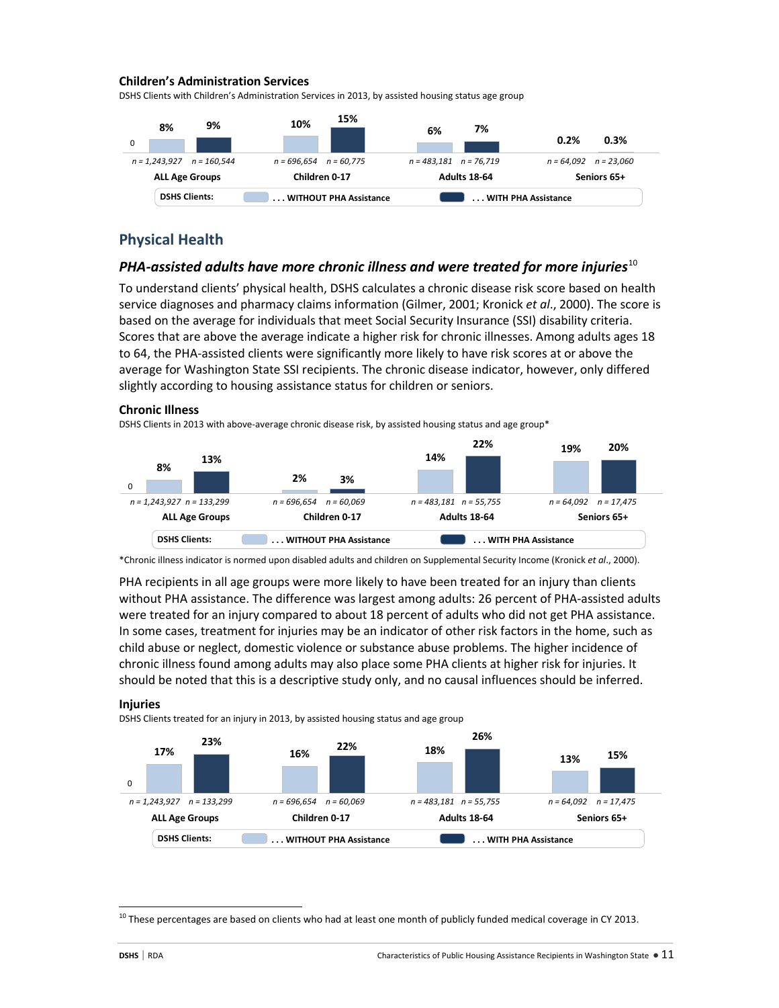### **Children's Administration Services**

DSHS Clients with Children's Administration Services in 2013, by assisted housing status age group



# **Physical Health**

### *PHA-assisted adults have more chronic illness and were treated for more injuries*[10](#page-10-0)

To understand clients' physical health, DSHS calculates a chronic disease risk score based on health service diagnoses and pharmacy claims information (Gilmer, 2001; Kronick *et al*., 2000). The score is based on the average for individuals that meet Social Security Insurance (SSI) disability criteria. Scores that are above the average indicate a higher risk for chronic illnesses. Among adults ages 18 to 64, the PHA-assisted clients were significantly more likely to have risk scores at or above the average for Washington State SSI recipients. The chronic disease indicator, however, only differed slightly according to housing assistance status for children or seniors.

#### **Chronic Illness**

DSHS Clients in 2013 with above-average chronic disease risk, by assisted housing status and age group\*



\*Chronic illness indicator is normed upon disabled adults and children on Supplemental Security Income (Kronick *et al*., 2000).

PHA recipients in all age groups were more likely to have been treated for an injury than clients without PHA assistance. The difference was largest among adults: 26 percent of PHA-assisted adults were treated for an injury compared to about 18 percent of adults who did not get PHA assistance. In some cases, treatment for injuries may be an indicator of other risk factors in the home, such as child abuse or neglect, domestic violence or substance abuse problems. The higher incidence of chronic illness found among adults may also place some PHA clients at higher risk for injuries. It should be noted that this is a descriptive study only, and no causal influences should be inferred.

#### **Injuries**

DSHS Clients treated for an injury in 2013, by assisted housing status and age group



<span id="page-10-0"></span> $10$  These percentages are based on clients who had at least one month of publicly funded medical coverage in CY 2013.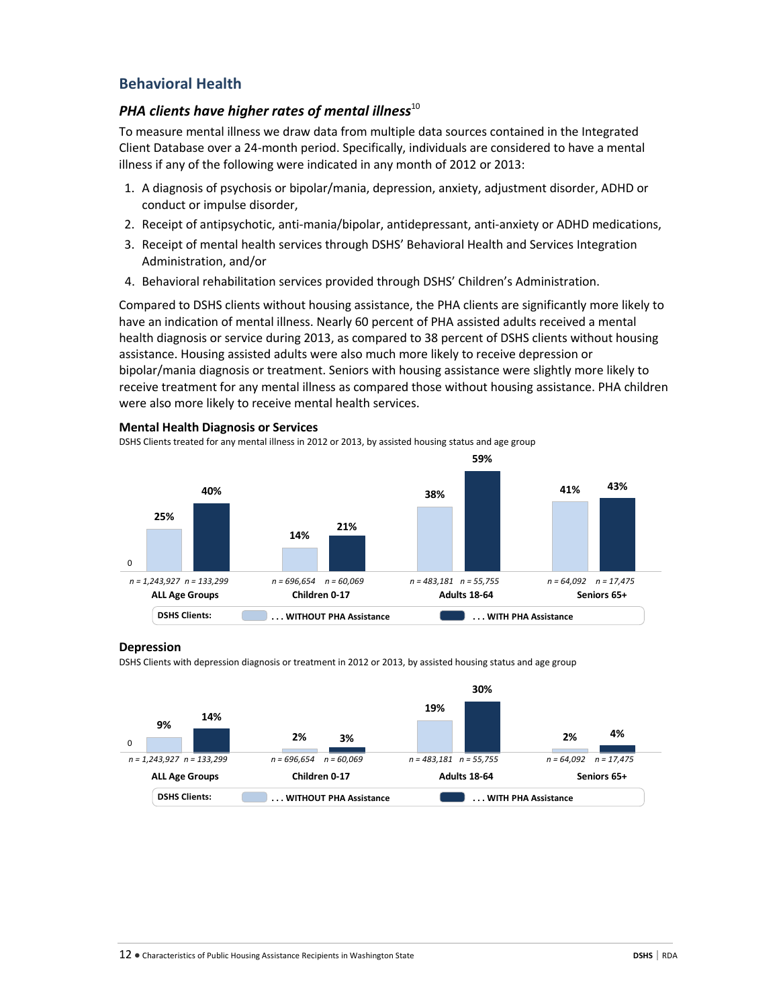# **Behavioral Health**

**Mental Health Diagnosis or Services**

# PHA clients have higher rates of mental illness<sup>10</sup>

To measure mental illness we draw data from multiple data sources contained in the Integrated Client Database over a 24-month period. Specifically, individuals are considered to have a mental illness if any of the following were indicated in any month of 2012 or 2013:

- 1. A diagnosis of psychosis or bipolar/mania, depression, anxiety, adjustment disorder, ADHD or conduct or impulse disorder,
- 2. Receipt of antipsychotic, anti-mania/bipolar, antidepressant, anti-anxiety or ADHD medications,
- 3. Receipt of mental health services through DSHS' Behavioral Health and Services Integration Administration, and/or
- 4. Behavioral rehabilitation services provided through DSHS' Children's Administration.

Compared to DSHS clients without housing assistance, the PHA clients are significantly more likely to have an indication of mental illness. Nearly 60 percent of PHA assisted adults received a mental health diagnosis or service during 2013, as compared to 38 percent of DSHS clients without housing assistance. Housing assisted adults were also much more likely to receive depression or bipolar/mania diagnosis or treatment. Seniors with housing assistance were slightly more likely to receive treatment for any mental illness as compared those without housing assistance. PHA children were also more likely to receive mental health services.

# DSHS Clients treated for any mental illness in 2012 or 2013, by assisted housing status and age group **25% 14% 38% 40% 41% 21% 59% 43%** 0 **ALL Age Groups Children 0-17 Adults 18-64 Seniors 65+** *n = 1,243,927 n = 133,299 n = 696,654 n = 60,069 n = 483,181 n = 55,755 n = 64,092 n = 17,475* **DSHS Clients: . . . WITHOUT PHA Assistance . . . WITH PHA Assistance**

### **Depression**

DSHS Clients with depression diagnosis or treatment in 2012 or 2013, by assisted housing status and age group

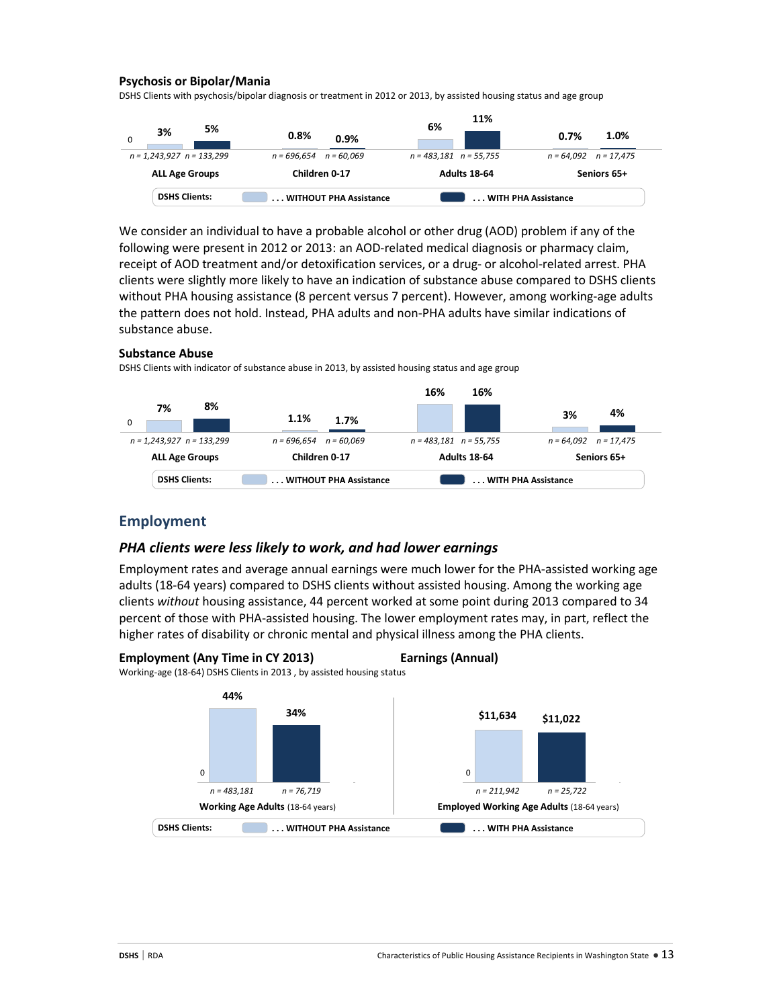### **Psychosis or Bipolar/Mania**

DSHS Clients with psychosis/bipolar diagnosis or treatment in 2012 or 2013, by assisted housing status and age group

|                               |                            | 11%                        |                           |  |
|-------------------------------|----------------------------|----------------------------|---------------------------|--|
| 5%<br>3%<br>0                 | 0.8%<br>0.9%               | 6%                         | 1.0%<br>0.7%              |  |
| $n = 1,243,927$ $n = 133,299$ | $n = 696,654$ $n = 60,069$ | $n = 483.181$ $n = 55.755$ | $n = 64,092$ $n = 17,475$ |  |
| <b>ALL Age Groups</b>         | Children 0-17              | <b>Adults 18-64</b>        | Seniors 65+               |  |
| <b>DSHS Clients:</b>          | WITHOUT PHA Assistance     |                            | WITH PHA Assistance       |  |

We consider an individual to have a probable alcohol or other drug (AOD) problem if any of the following were present in 2012 or 2013: an AOD-related medical diagnosis or pharmacy claim, receipt of AOD treatment and/or detoxification services, or a drug- or alcohol-related arrest. PHA clients were slightly more likely to have an indication of substance abuse compared to DSHS clients without PHA housing assistance (8 percent versus 7 percent). However, among working-age adults the pattern does not hold. Instead, PHA adults and non-PHA adults have similar indications of substance abuse.

### **Substance Abuse**

DSHS Clients with indicator of substance abuse in 2013, by assisted housing status and age group



### **Employment**

### *PHA clients were less likely to work, and had lower earnings*

Employment rates and average annual earnings were much lower for the PHA-assisted working age adults (18-64 years) compared to DSHS clients without assisted housing. Among the working age clients *without* housing assistance, 44 percent worked at some point during 2013 compared to 34 percent of those with PHA-assisted housing. The lower employment rates may, in part, reflect the higher rates of disability or chronic mental and physical illness among the PHA clients.





Working-age (18-64) DSHS Clients in 2013 , by assisted housing status

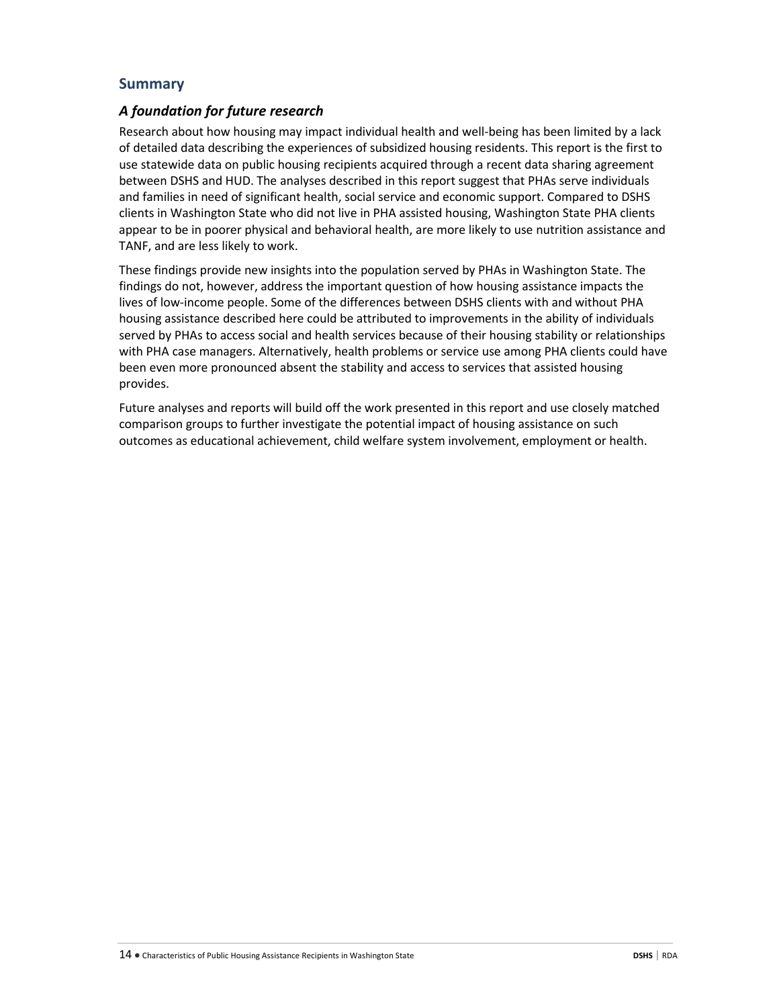# **Summary**

# *A foundation for future research*

Research about how housing may impact individual health and well-being has been limited by a lack of detailed data describing the experiences of subsidized housing residents. This report is the first to use statewide data on public housing recipients acquired through a recent data sharing agreement between DSHS and HUD. The analyses described in this report suggest that PHAs serve individuals and families in need of significant health, social service and economic support. Compared to DSHS clients in Washington State who did not live in PHA assisted housing, Washington State PHA clients appear to be in poorer physical and behavioral health, are more likely to use nutrition assistance and TANF, and are less likely to work.

These findings provide new insights into the population served by PHAs in Washington State. The findings do not, however, address the important question of how housing assistance impacts the lives of low-income people. Some of the differences between DSHS clients with and without PHA housing assistance described here could be attributed to improvements in the ability of individuals served by PHAs to access social and health services because of their housing stability or relationships with PHA case managers. Alternatively, health problems or service use among PHA clients could have been even more pronounced absent the stability and access to services that assisted housing provides.

Future analyses and reports will build off the work presented in this report and use closely matched comparison groups to further investigate the potential impact of housing assistance on such outcomes as educational achievement, child welfare system involvement, employment or health.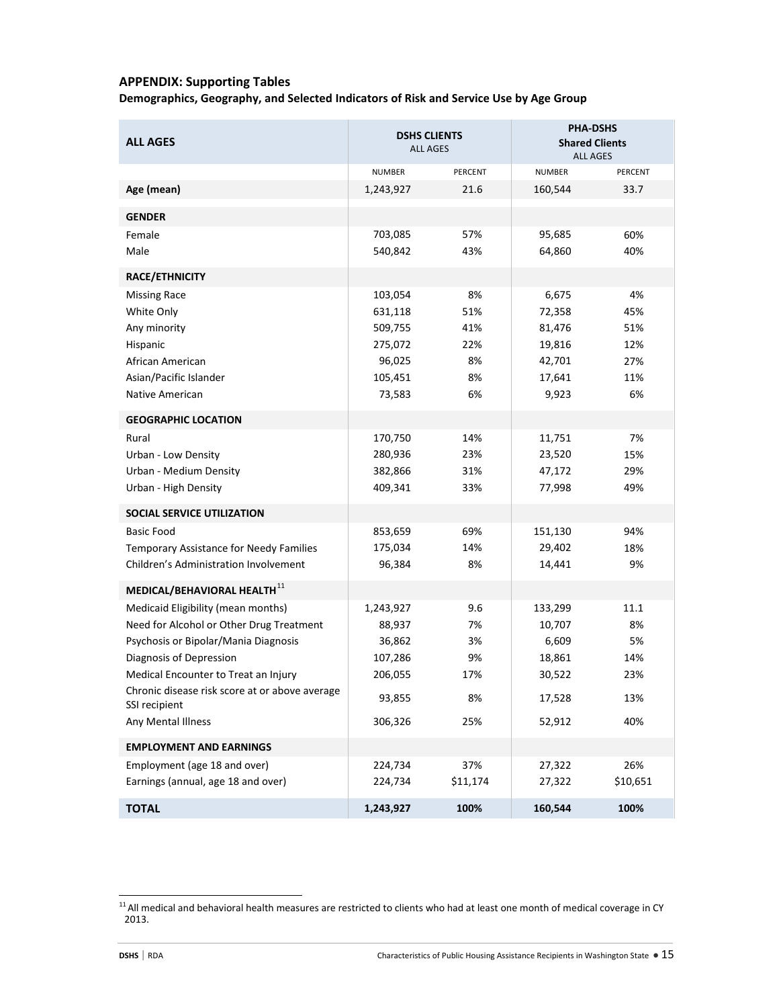### **APPENDIX: Supporting Tables**

**Demographics, Geography, and Selected Indicators of Risk and Service Use by Age Group**

| <b>ALL AGES</b>                                                 | <b>DSHS CLIENTS</b><br><b>ALL AGES</b> |          | <b>PHA-DSHS</b><br><b>Shared Clients</b><br><b>ALL AGES</b> |          |
|-----------------------------------------------------------------|----------------------------------------|----------|-------------------------------------------------------------|----------|
|                                                                 | NUMBER                                 | PERCENT  | <b>NUMBER</b>                                               | PERCENT  |
| Age (mean)                                                      | 1,243,927                              | 21.6     | 160,544                                                     | 33.7     |
| <b>GENDER</b>                                                   |                                        |          |                                                             |          |
| Female                                                          | 703,085                                | 57%      | 95,685                                                      | 60%      |
| Male                                                            | 540,842                                | 43%      | 64,860                                                      | 40%      |
| RACE/ETHNICITY                                                  |                                        |          |                                                             |          |
| <b>Missing Race</b>                                             | 103,054                                | 8%       | 6,675                                                       | 4%       |
| White Only                                                      | 631,118                                | 51%      | 72,358                                                      | 45%      |
| Any minority                                                    | 509,755                                | 41%      | 81,476                                                      | 51%      |
| Hispanic                                                        | 275,072                                | 22%      | 19,816                                                      | 12%      |
| African American                                                | 96,025                                 | 8%       | 42,701                                                      | 27%      |
| Asian/Pacific Islander                                          | 105,451                                | 8%       | 17,641                                                      | 11%      |
| Native American                                                 | 73,583                                 | 6%       | 9,923                                                       | 6%       |
| <b>GEOGRAPHIC LOCATION</b>                                      |                                        |          |                                                             |          |
| Rural                                                           | 170,750                                | 14%      | 11,751                                                      | 7%       |
| Urban - Low Density                                             | 280,936                                | 23%      | 23,520                                                      | 15%      |
| Urban - Medium Density                                          | 382,866                                | 31%      | 47,172                                                      | 29%      |
| Urban - High Density                                            | 409,341                                | 33%      | 77,998                                                      | 49%      |
| SOCIAL SERVICE UTILIZATION                                      |                                        |          |                                                             |          |
| <b>Basic Food</b>                                               | 853,659                                | 69%      | 151,130                                                     | 94%      |
| Temporary Assistance for Needy Families                         | 175,034                                | 14%      | 29,402                                                      | 18%      |
| Children's Administration Involvement                           | 96,384                                 | 8%       | 14,441                                                      | 9%       |
| MEDICAL/BEHAVIORAL HEALTH11                                     |                                        |          |                                                             |          |
| Medicaid Eligibility (mean months)                              | 1,243,927                              | 9.6      | 133,299                                                     | 11.1     |
| Need for Alcohol or Other Drug Treatment                        | 88,937                                 | 7%       | 10,707                                                      | 8%       |
| Psychosis or Bipolar/Mania Diagnosis                            | 36,862                                 | 3%       | 6,609                                                       | 5%       |
| Diagnosis of Depression                                         | 107,286                                | 9%       | 18,861                                                      | 14%      |
| Medical Encounter to Treat an Injury                            | 206,055                                | 17%      | 30,522                                                      | 23%      |
| Chronic disease risk score at or above average<br>SSI recipient | 93,855                                 | 8%       | 17,528                                                      | 13%      |
| Any Mental Illness                                              | 306,326                                | 25%      | 52,912                                                      | 40%      |
| <b>EMPLOYMENT AND EARNINGS</b>                                  |                                        |          |                                                             |          |
| Employment (age 18 and over)                                    | 224,734                                | 37%      | 27,322                                                      | 26%      |
| Earnings (annual, age 18 and over)                              | 224,734                                | \$11,174 | 27,322                                                      | \$10,651 |
| <b>TOTAL</b>                                                    | 1,243,927                              | 100%     | 160,544                                                     | 100%     |

<span id="page-14-0"></span> $11$  All medical and behavioral health measures are restricted to clients who had at least one month of medical coverage in CY 2013.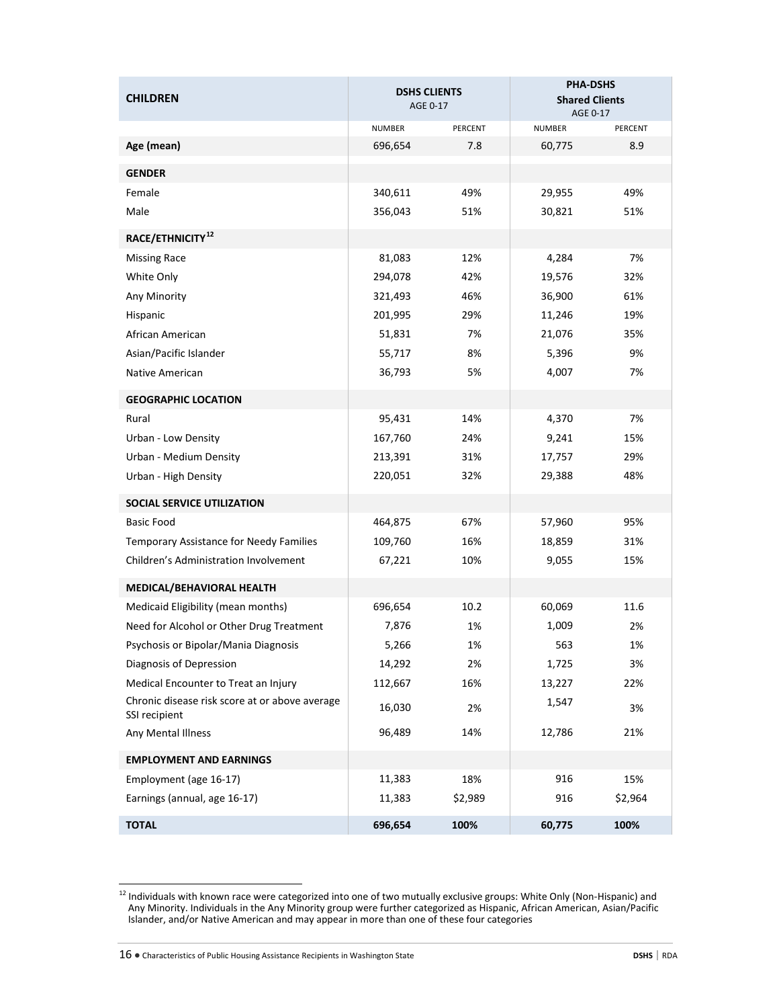| <b>CHILDREN</b>                                                 | <b>DSHS CLIENTS</b><br>AGE 0-17 |         | <b>PHA-DSHS</b><br><b>Shared Clients</b><br>AGE 0-17 |         |
|-----------------------------------------------------------------|---------------------------------|---------|------------------------------------------------------|---------|
|                                                                 | <b>NUMBER</b>                   | PERCENT | <b>NUMBER</b>                                        | PERCENT |
| Age (mean)                                                      | 696,654                         | 7.8     | 60,775                                               | 8.9     |
| <b>GENDER</b>                                                   |                                 |         |                                                      |         |
| Female                                                          | 340,611                         | 49%     | 29,955                                               | 49%     |
| Male                                                            | 356,043                         | 51%     | 30,821                                               | 51%     |
| RACE/ETHNICITY <sup>12</sup>                                    |                                 |         |                                                      |         |
| <b>Missing Race</b>                                             | 81,083                          | 12%     | 4,284                                                | 7%      |
| White Only                                                      | 294,078                         | 42%     | 19,576                                               | 32%     |
| Any Minority                                                    | 321,493                         | 46%     | 36,900                                               | 61%     |
| Hispanic                                                        | 201,995                         | 29%     | 11,246                                               | 19%     |
| African American                                                | 51,831                          | 7%      | 21,076                                               | 35%     |
| Asian/Pacific Islander                                          | 55,717                          | 8%      | 5,396                                                | 9%      |
| Native American                                                 | 36,793                          | 5%      | 4,007                                                | 7%      |
| <b>GEOGRAPHIC LOCATION</b>                                      |                                 |         |                                                      |         |
| Rural                                                           | 95,431                          | 14%     | 4,370                                                | 7%      |
| Urban - Low Density                                             | 167,760                         | 24%     | 9,241                                                | 15%     |
| Urban - Medium Density                                          | 213,391                         | 31%     | 17,757                                               | 29%     |
| Urban - High Density                                            | 220,051                         | 32%     | 29,388                                               | 48%     |
| <b>SOCIAL SERVICE UTILIZATION</b>                               |                                 |         |                                                      |         |
| <b>Basic Food</b>                                               | 464,875                         | 67%     | 57,960                                               | 95%     |
| Temporary Assistance for Needy Families                         | 109,760                         | 16%     | 18,859                                               | 31%     |
| Children's Administration Involvement                           | 67,221                          | 10%     | 9,055                                                | 15%     |
| MEDICAL/BEHAVIORAL HEALTH                                       |                                 |         |                                                      |         |
| Medicaid Eligibility (mean months)                              | 696,654                         | 10.2    | 60,069                                               | 11.6    |
| Need for Alcohol or Other Drug Treatment                        | 7,876                           | 1%      | 1,009                                                | 2%      |
| Psychosis or Bipolar/Mania Diagnosis                            | 5,266                           | 1%      | 563                                                  | 1%      |
| Diagnosis of Depression                                         | 14,292                          | 2%      | 1,725                                                | 3%      |
| Medical Encounter to Treat an Injury                            | 112,667                         | 16%     | 13,227                                               | 22%     |
| Chronic disease risk score at or above average<br>SSI recipient | 16,030                          | 2%      | 1,547                                                | 3%      |
| Any Mental Illness                                              | 96,489                          | 14%     | 12,786                                               | 21%     |
| <b>EMPLOYMENT AND EARNINGS</b>                                  |                                 |         |                                                      |         |
| Employment (age 16-17)                                          | 11,383                          | 18%     | 916                                                  | 15%     |
| Earnings (annual, age 16-17)                                    | 11,383                          | \$2,989 | 916                                                  | \$2,964 |
| <b>TOTAL</b>                                                    | 696,654                         | 100%    | 60,775                                               | 100%    |

<span id="page-15-0"></span><sup>12</sup> Individuals with known race were categorized into one of two mutually exclusive groups: White Only (Non-Hispanic) and 12 Individuals with known race were categorized into one of two mutually exclusive groups: White Only Any Minority. Individuals in the Any Minority group were further categorized as Hispanic, African American, Asian/Pacific Islander, and/or Native American and may appear in more than one of these four categories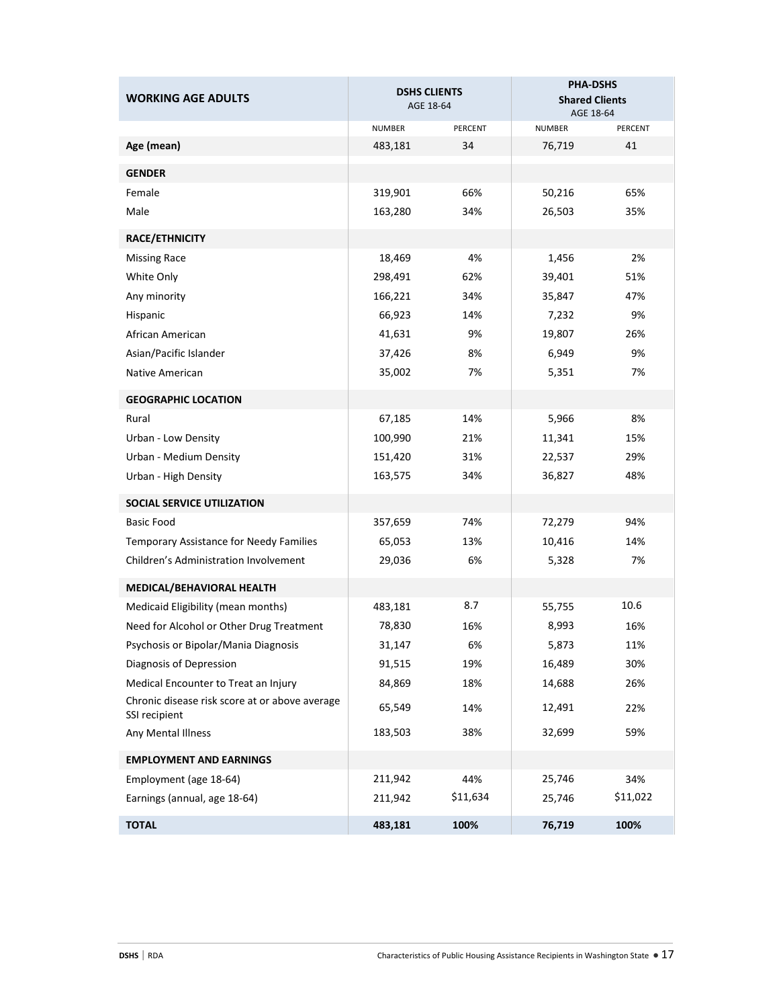| <b>WORKING AGE ADULTS</b>                                       |         | <b>DSHS CLIENTS</b><br>AGE 18-64 | <b>PHA-DSHS</b><br><b>Shared Clients</b><br>AGE 18-64 |          |
|-----------------------------------------------------------------|---------|----------------------------------|-------------------------------------------------------|----------|
|                                                                 | NUMBER  | PERCENT                          | <b>NUMBER</b>                                         | PERCENT  |
| Age (mean)                                                      | 483,181 | 34                               | 76,719                                                | 41       |
| <b>GENDER</b>                                                   |         |                                  |                                                       |          |
| Female                                                          | 319,901 | 66%                              | 50,216                                                | 65%      |
| Male                                                            | 163,280 | 34%                              | 26,503                                                | 35%      |
| <b>RACE/ETHNICITY</b>                                           |         |                                  |                                                       |          |
| <b>Missing Race</b>                                             | 18,469  | 4%                               | 1,456                                                 | 2%       |
| White Only                                                      | 298,491 | 62%                              | 39,401                                                | 51%      |
| Any minority                                                    | 166,221 | 34%                              | 35,847                                                | 47%      |
| Hispanic                                                        | 66,923  | 14%                              | 7,232                                                 | 9%       |
| African American                                                | 41,631  | 9%                               | 19,807                                                | 26%      |
| Asian/Pacific Islander                                          | 37,426  | 8%                               | 6,949                                                 | 9%       |
| Native American                                                 | 35,002  | 7%                               | 5,351                                                 | 7%       |
| <b>GEOGRAPHIC LOCATION</b>                                      |         |                                  |                                                       |          |
| Rural                                                           | 67,185  | 14%                              | 5,966                                                 | 8%       |
| Urban - Low Density                                             | 100,990 | 21%                              | 11,341                                                | 15%      |
| Urban - Medium Density                                          | 151,420 | 31%                              | 22,537                                                | 29%      |
| Urban - High Density                                            | 163,575 | 34%                              | 36,827                                                | 48%      |
| <b>SOCIAL SERVICE UTILIZATION</b>                               |         |                                  |                                                       |          |
| <b>Basic Food</b>                                               | 357,659 | 74%                              | 72,279                                                | 94%      |
| Temporary Assistance for Needy Families                         | 65,053  | 13%                              | 10,416                                                | 14%      |
| Children's Administration Involvement                           | 29,036  | 6%                               | 5,328                                                 | 7%       |
| MEDICAL/BEHAVIORAL HEALTH                                       |         |                                  |                                                       |          |
| Medicaid Eligibility (mean months)                              | 483,181 | 8.7                              | 55,755                                                | 10.6     |
| Need for Alcohol or Other Drug Treatment                        | 78,830  | 16%                              | 8,993                                                 | 16%      |
| Psychosis or Bipolar/Mania Diagnosis                            | 31,147  | 6%                               | 5,873                                                 | 11%      |
| Diagnosis of Depression                                         | 91,515  | 19%                              | 16,489                                                | 30%      |
| Medical Encounter to Treat an Injury                            | 84,869  | 18%                              | 14,688                                                | 26%      |
| Chronic disease risk score at or above average<br>SSI recipient | 65,549  | 14%                              | 12,491                                                | 22%      |
| Any Mental Illness                                              | 183,503 | 38%                              | 32,699                                                | 59%      |
| <b>EMPLOYMENT AND EARNINGS</b>                                  |         |                                  |                                                       |          |
| Employment (age 18-64)                                          | 211,942 | 44%                              | 25,746                                                | 34%      |
| Earnings (annual, age 18-64)                                    | 211,942 | \$11,634                         | 25,746                                                | \$11,022 |
| <b>TOTAL</b>                                                    | 483,181 | 100%                             | 76,719                                                | 100%     |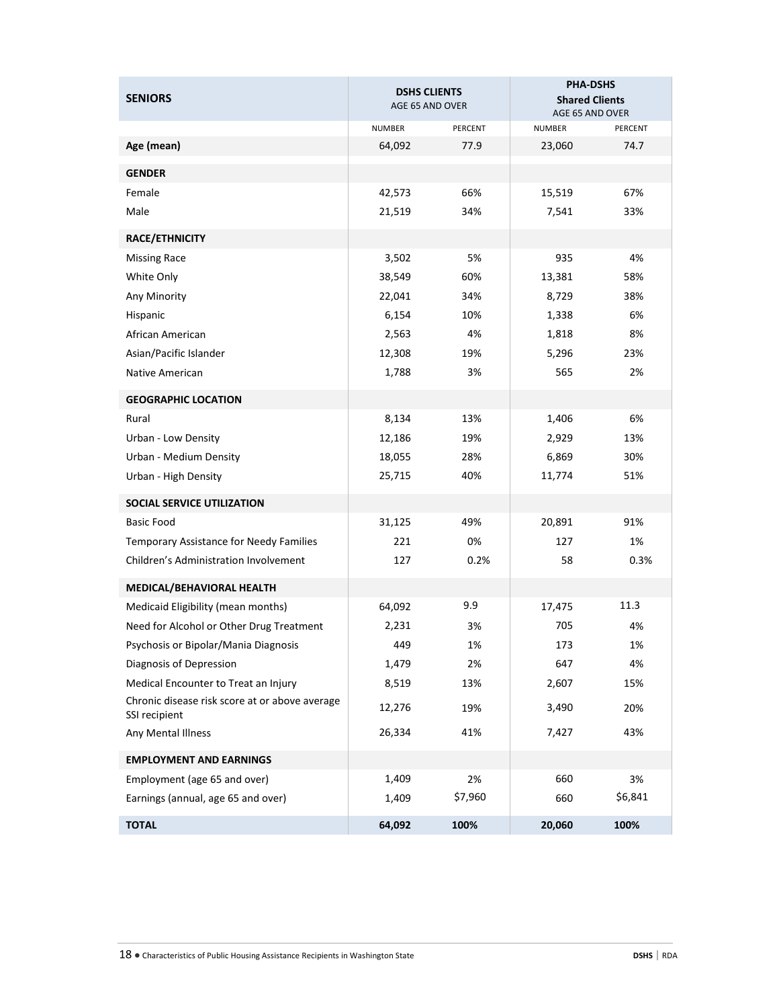| <b>SENIORS</b>                                                  | <b>DSHS CLIENTS</b><br>AGE 65 AND OVER |         | <b>PHA-DSHS</b><br><b>Shared Clients</b><br>AGE 65 AND OVER |         |
|-----------------------------------------------------------------|----------------------------------------|---------|-------------------------------------------------------------|---------|
|                                                                 | <b>NUMBER</b>                          | PERCENT | <b>NUMBER</b>                                               | PERCENT |
| Age (mean)                                                      | 64,092                                 | 77.9    | 23,060                                                      | 74.7    |
| <b>GENDER</b>                                                   |                                        |         |                                                             |         |
| Female                                                          | 42,573                                 | 66%     | 15,519                                                      | 67%     |
| Male                                                            | 21,519                                 | 34%     | 7,541                                                       | 33%     |
| <b>RACE/ETHNICITY</b>                                           |                                        |         |                                                             |         |
| <b>Missing Race</b>                                             | 3,502                                  | 5%      | 935                                                         | 4%      |
| White Only                                                      | 38,549                                 | 60%     | 13,381                                                      | 58%     |
| Any Minority                                                    | 22,041                                 | 34%     | 8,729                                                       | 38%     |
| Hispanic                                                        | 6,154                                  | 10%     | 1,338                                                       | 6%      |
| African American                                                | 2,563                                  | 4%      | 1,818                                                       | 8%      |
| Asian/Pacific Islander                                          | 12,308                                 | 19%     | 5,296                                                       | 23%     |
| Native American                                                 | 1,788                                  | 3%      | 565                                                         | 2%      |
| <b>GEOGRAPHIC LOCATION</b>                                      |                                        |         |                                                             |         |
| Rural                                                           | 8,134                                  | 13%     | 1,406                                                       | 6%      |
| Urban - Low Density                                             | 12,186                                 | 19%     | 2,929                                                       | 13%     |
| Urban - Medium Density                                          | 18,055                                 | 28%     | 6,869                                                       | 30%     |
| Urban - High Density                                            | 25,715                                 | 40%     | 11,774                                                      | 51%     |
| SOCIAL SERVICE UTILIZATION                                      |                                        |         |                                                             |         |
| <b>Basic Food</b>                                               | 31,125                                 | 49%     | 20,891                                                      | 91%     |
| Temporary Assistance for Needy Families                         | 221                                    | 0%      | 127                                                         | 1%      |
| Children's Administration Involvement                           | 127                                    | 0.2%    | 58                                                          | 0.3%    |
| MEDICAL/BEHAVIORAL HEALTH                                       |                                        |         |                                                             |         |
| Medicaid Eligibility (mean months)                              | 64,092                                 | 9.9     | 17,475                                                      | 11.3    |
| Need for Alcohol or Other Drug Treatment                        | 2,231                                  | 3%      | 705                                                         | 4%      |
| Psychosis or Bipolar/Mania Diagnosis                            | 449                                    | 1%      | 173                                                         | 1%      |
| Diagnosis of Depression                                         | 1,479                                  | 2%      | 647                                                         | 4%      |
| Medical Encounter to Treat an Injury                            | 8,519                                  | 13%     | 2,607                                                       | 15%     |
| Chronic disease risk score at or above average<br>SSI recipient | 12,276                                 | 19%     | 3,490                                                       | 20%     |
| Any Mental Illness                                              | 26,334                                 | 41%     | 7,427                                                       | 43%     |
| <b>EMPLOYMENT AND EARNINGS</b>                                  |                                        |         |                                                             |         |
| Employment (age 65 and over)                                    | 1,409                                  | 2%      | 660                                                         | 3%      |
| Earnings (annual, age 65 and over)                              | 1,409                                  | \$7,960 | 660                                                         | \$6,841 |
| <b>TOTAL</b>                                                    | 64,092                                 | 100%    | 20,060                                                      | 100%    |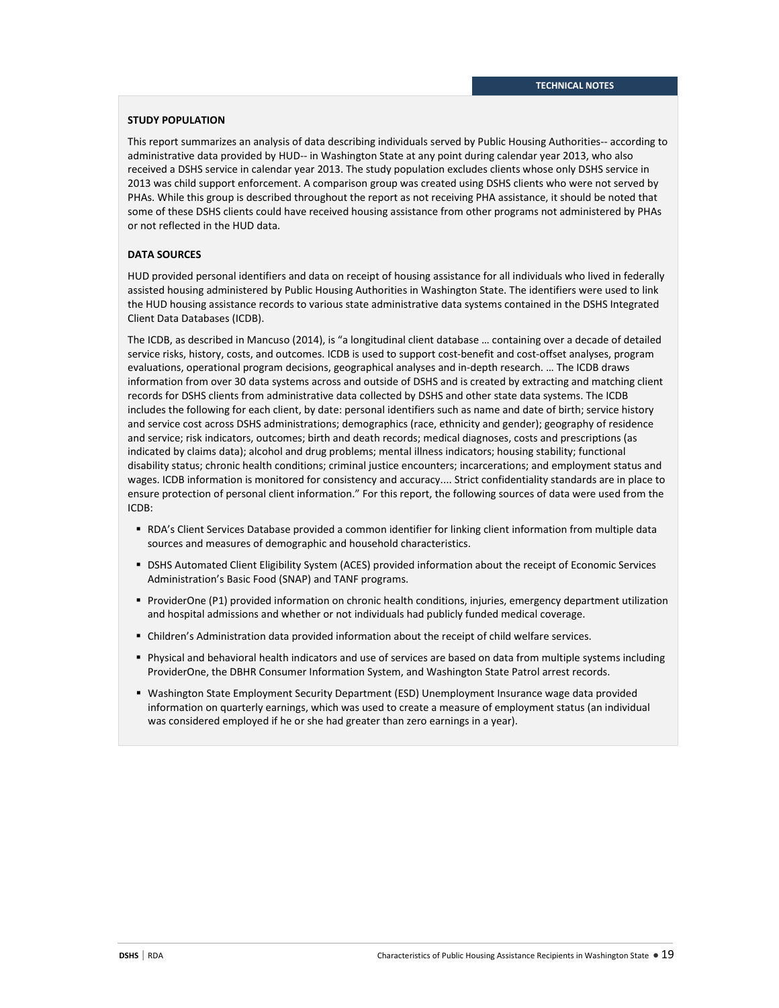### **STUDY POPULATION**

This report summarizes an analysis of data describing individuals served by Public Housing Authorities-- according to administrative data provided by HUD-- in Washington State at any point during calendar year 2013, who also received a DSHS service in calendar year 2013. The study population excludes clients whose only DSHS service in 2013 was child support enforcement. A comparison group was created using DSHS clients who were not served by PHAs. While this group is described throughout the report as not receiving PHA assistance, it should be noted that some of these DSHS clients could have received housing assistance from other programs not administered by PHAs or not reflected in the HUD data.

### **DATA SOURCES**

HUD provided personal identifiers and data on receipt of housing assistance for all individuals who lived in federally assisted housing administered by Public Housing Authorities in Washington State. The identifiers were used to link the HUD housing assistance records to various state administrative data systems contained in the DSHS Integrated Client Data Databases (ICDB).

The ICDB, as described in Mancuso (2014), is "a longitudinal client database … containing over a decade of detailed service risks, history, costs, and outcomes. ICDB is used to support cost-benefit and cost-offset analyses, program evaluations, operational program decisions, geographical analyses and in-depth research. … The ICDB draws information from over 30 data systems across and outside of DSHS and is created by extracting and matching client records for DSHS clients from administrative data collected by DSHS and other state data systems. The ICDB includes the following for each client, by date: personal identifiers such as name and date of birth; service history and service cost across DSHS administrations; demographics (race, ethnicity and gender); geography of residence and service; risk indicators, outcomes; birth and death records; medical diagnoses, costs and prescriptions (as indicated by claims data); alcohol and drug problems; mental illness indicators; housing stability; functional disability status; chronic health conditions; criminal justice encounters; incarcerations; and employment status and wages. ICDB information is monitored for consistency and accuracy.... Strict confidentiality standards are in place to ensure protection of personal client information." For this report, the following sources of data were used from the ICDB:

- RDA's Client Services Database provided a common identifier for linking client information from multiple data sources and measures of demographic and household characteristics.
- DSHS Automated Client Eligibility System (ACES) provided information about the receipt of Economic Services Administration's Basic Food (SNAP) and TANF programs.
- ProviderOne (P1) provided information on chronic health conditions, injuries, emergency department utilization and hospital admissions and whether or not individuals had publicly funded medical coverage.
- Children's Administration data provided information about the receipt of child welfare services.
- Physical and behavioral health indicators and use of services are based on data from multiple systems including ProviderOne, the DBHR Consumer Information System, and Washington State Patrol arrest records.
- Washington State Employment Security Department (ESD) Unemployment Insurance wage data provided information on quarterly earnings, which was used to create a measure of employment status (an individual was considered employed if he or she had greater than zero earnings in a year).